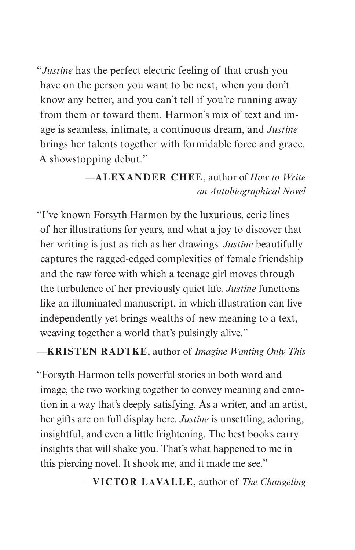"*Justine* has the perfect electric feeling of that crush you have on the person you want to be next, when you don't know any better, and you can't tell if you're running away from them or toward them. Harmon's mix of text and image is seamless, intimate, a continuous dream, and *Justine* brings her talents together with formidable force and grace. A showstopping debut."

## —**ALEXANDER CHEE**, author of *How to Write an Autobiographical Novel*

"I've known Forsyth Harmon by the luxurious, eerie lines of her illustrations for years, and what a joy to discover that her writing is just as rich as her drawings. *Justine* beautifully captures the ragged-edged complexities of female friendship and the raw force with which a teenage girl moves through the turbulence of her previously quiet life. *Justine* functions like an illuminated manuscript, in which illustration can live independently yet brings wealths of new meaning to a text, weaving together a world that's pulsingly alive."

—**KRISTEN RADTKE**, author of *Imagine Wanting Only This*

"Forsyth Harmon tells powerful stories in both word and image, the two working together to convey meaning and emotion in a way that's deeply satisfying. As a writer, and an artist, her gifts are on full display here. *Justine* is unsettling, adoring, insightful, and even a little frightening. The best books carry insights that will shake you. That's what happened to me in this piercing novel. It shook me, and it made me see."

—**VICTOR LAVALLE**, author of *The Changeling*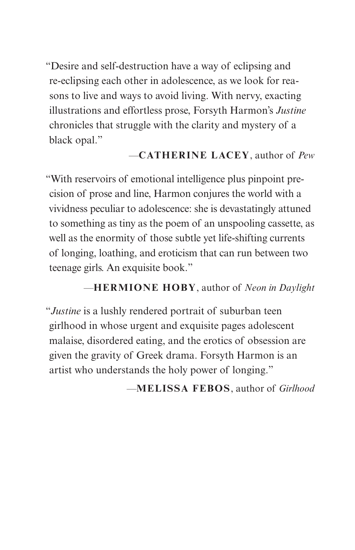"Desire and self-destruction have a way of eclipsing and re-eclipsing each other in adolescence, as we look for reasons to live and ways to avoid living. With nervy, exacting illustrations and effortless prose, Forsyth Harmon's *Justine* chronicles that struggle with the clarity and mystery of a black opal."

### —**CATHERINE LACEY**, author of *Pew*

"With reservoirs of emotional intelligence plus pinpoint precision of prose and line, Harmon conjures the world with a vividness peculiar to adolescence: she is devastatingly attuned to something as tiny as the poem of an unspooling cassette, as well as the enormity of those subtle yet life-shifting currents of longing, loathing, and eroticism that can run between two teenage girls. An exquisite book."

#### —**HERMIONE HOBY**, author of *Neon in Daylight*

"*Justine* is a lushly rendered portrait of suburban teen girlhood in whose urgent and exquisite pages adolescent malaise, disordered eating, and the erotics of obsession are given the gravity of Greek drama. Forsyth Harmon is an artist who understands the holy power of longing."

—**MELISSA FEBOS**, author of *Girlhood*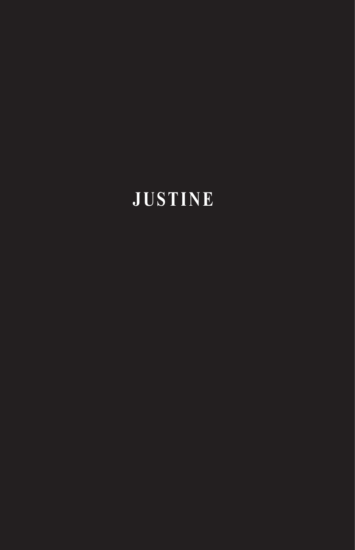# **JUSTINE**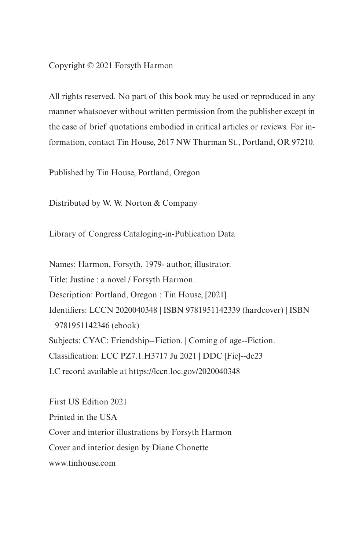Copyright © 2021 Forsyth Harmon

All rights reserved. No part of this book may be used or reproduced in any manner whatsoever without written permission from the publisher except in the case of brief quotations embodied in critical articles or reviews. For information, contact Tin House, 2617 NW Thurman St., Portland, OR 97210.

Published by Tin House, Portland, Oregon

Distributed by W. W. Norton & Company

Library of Congress Cataloging-in-Publication Data

Names: Harmon, Forsyth, 1979- author, illustrator. Title: Justine : a novel / Forsyth Harmon. Description: Portland, Oregon : Tin House, [2021] Identifiers: LCCN 2020040348 | ISBN 9781951142339 (hardcover) | ISBN 9781951142346 (ebook) Subjects: CYAC: Friendship--Fiction. | Coming of age--Fiction. Classification: LCC PZ7.1.H3717 Ju 2021 | DDC [Fic]--dc23 LC record available at https://lccn.loc.gov/2020040348

First US Edition 2021 Printed in the USA Cover and interior illustrations by Forsyth Harmon Cover and interior design by Diane Chonette www.tinhouse.com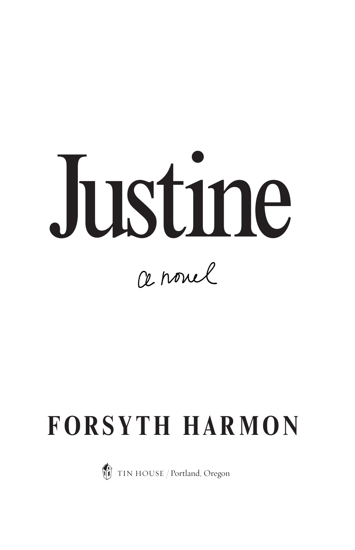

# **FORSYTH HARMON**



∏IN HOUSE / Portland, Oregon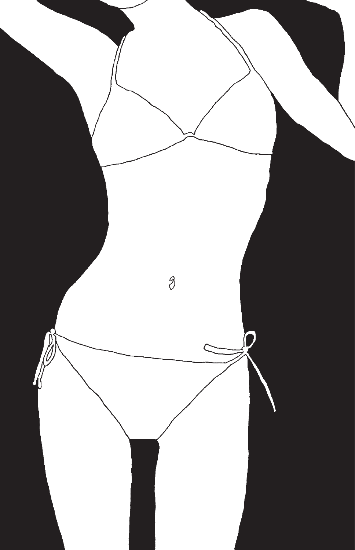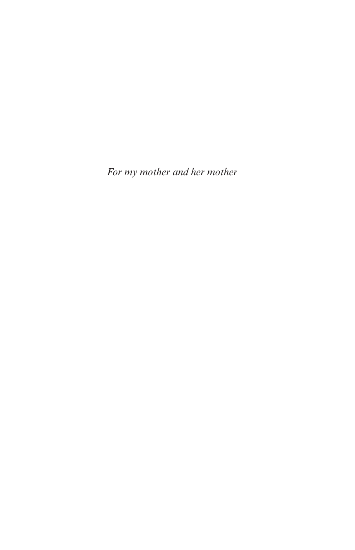For my mother and her mother-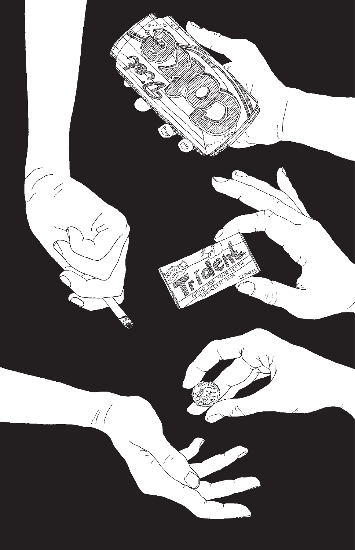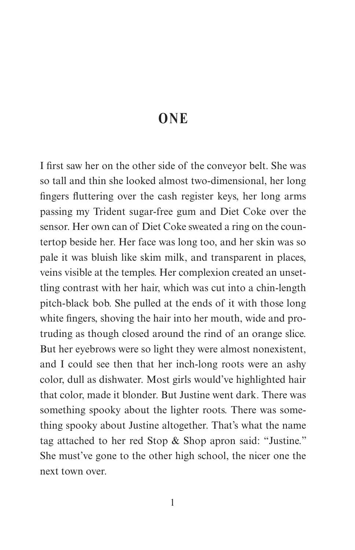# **ONE**

I first saw her on the other side of the conveyor belt. She was so tall and thin she looked almost two-dimensional, her long fingers fluttering over the cash register keys, her long arms passing my Trident sugar-free gum and Diet Coke over the sensor. Her own can of Diet Coke sweated a ring on the countertop beside her. Her face was long too, and her skin was so pale it was bluish like skim milk, and transparent in places, veins visible at the temples. Her complexion created an unsettling contrast with her hair, which was cut into a chin-length pitch-black bob. She pulled at the ends of it with those long white fingers, shoving the hair into her mouth, wide and protruding as though closed around the rind of an orange slice. But her eyebrows were so light they were almost nonexistent, and I could see then that her inch-long roots were an ashy color, dull as dishwater. Most girls would've highlighted hair that color, made it blonder. But Justine went dark. There was something spooky about the lighter roots. There was something spooky about Justine altogether. That's what the name tag attached to her red Stop & Shop apron said: "Justine." She must've gone to the other high school, the nicer one the next town over.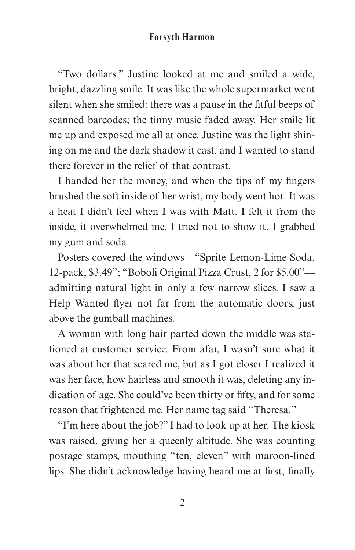"Two dollars." Justine looked at me and smiled a wide, bright, dazzling smile. It was like the whole supermarket went silent when she smiled: there was a pause in the fitful beeps of scanned barcodes; the tinny music faded away. Her smile lit me up and exposed me all at once. Justine was the light shining on me and the dark shadow it cast, and I wanted to stand there forever in the relief of that contrast.

I handed her the money, and when the tips of my fingers brushed the soft inside of her wrist, my body went hot. It was a heat I didn't feel when I was with Matt. I felt it from the inside, it overwhelmed me, I tried not to show it. I grabbed my gum and soda.

Posters covered the windows—"Sprite Lemon-Lime Soda, 12-pack, \$3.49"; "Boboli Original Pizza Crust, 2 for \$5.00" admitting natural light in only a few narrow slices. I saw a Help Wanted flyer not far from the automatic doors, just above the gumball machines.

A woman with long hair parted down the middle was stationed at customer service. From afar, I wasn't sure what it was about her that scared me, but as I got closer I realized it was her face, how hairless and smooth it was, deleting any indication of age. She could've been thirty or fifty, and for some reason that frightened me. Her name tag said "Theresa."

"I'm here about the job?" I had to look up at her. The kiosk was raised, giving her a queenly altitude. She was counting postage stamps, mouthing "ten, eleven" with maroon-lined lips. She didn't acknowledge having heard me at first, finally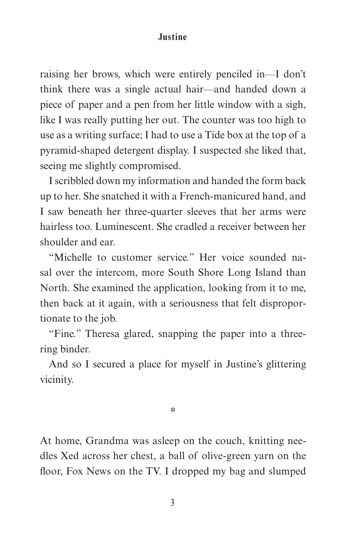raising her brows, which were entirely penciled in—I don't think there was a single actual hair—and handed down a piece of paper and a pen from her little window with a sigh, like I was really putting her out. The counter was too high to use as a writing surface; I had to use a Tide box at the top of a pyramid-shaped detergent display. I suspected she liked that, seeing me slightly compromised.

I scribbled down my information and handed the form back up to her. She snatched it with a French-manicured hand, and I saw beneath her three-quarter sleeves that her arms were hairless too. Luminescent. She cradled a receiver between her shoulder and ear.

"Michelle to customer service." Her voice sounded nasal over the intercom, more South Shore Long Island than North. She examined the application, looking from it to me, then back at it again, with a seriousness that felt disproportionate to the job.

"Fine." Theresa glared, snapping the paper into a threering binder.

And so I secured a place for myself in Justine's glittering vicinity.

∗

At home, Grandma was asleep on the couch, knitting needles Xed across her chest, a ball of olive-green yarn on the floor, Fox News on the TV. I dropped my bag and slumped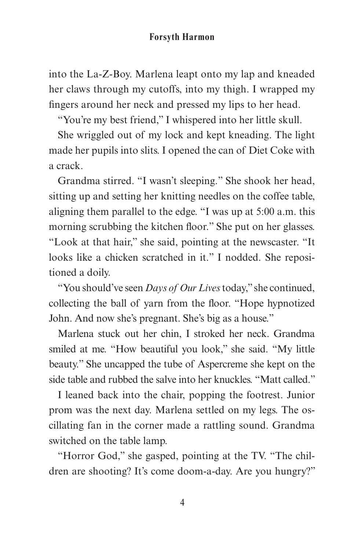into the La-Z-Boy. Marlena leapt onto my lap and kneaded her claws through my cutoffs, into my thigh. I wrapped my fingers around her neck and pressed my lips to her head.

"You're my best friend," I whispered into her little skull.

She wriggled out of my lock and kept kneading. The light made her pupils into slits. I opened the can of Diet Coke with a crack.

Grandma stirred. "I wasn't sleeping." She shook her head, sitting up and setting her knitting needles on the coffee table, aligning them parallel to the edge. "I was up at 5:00 a.m. this morning scrubbing the kitchen floor." She put on her glasses. "Look at that hair," she said, pointing at the newscaster. "It looks like a chicken scratched in it." I nodded. She repositioned a doily.

"You should've seen *Days of Our Lives* today," she continued, collecting the ball of yarn from the floor. "Hope hypnotized John. And now she's pregnant. She's big as a house."

Marlena stuck out her chin, I stroked her neck. Grandma smiled at me. "How beautiful you look," she said. "My little beauty." She uncapped the tube of Aspercreme she kept on the side table and rubbed the salve into her knuckles. "Matt called."

I leaned back into the chair, popping the footrest. Junior prom was the next day. Marlena settled on my legs. The oscillating fan in the corner made a rattling sound. Grandma switched on the table lamp.

"Horror God," she gasped, pointing at the TV. "The children are shooting? It's come doom-a-day. Are you hungry?"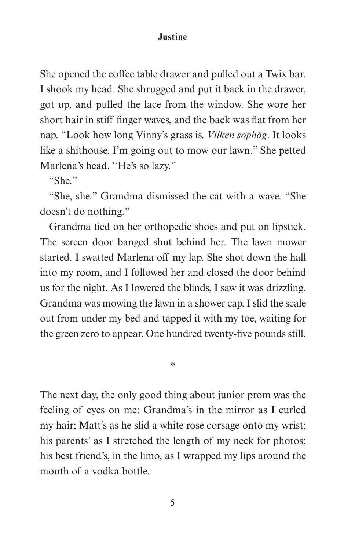She opened the coffee table drawer and pulled out a Twix bar. I shook my head. She shrugged and put it back in the drawer, got up, and pulled the lace from the window. She wore her short hair in stiff finger waves, and the back was flat from her nap. "Look how long Vinny's grass is. *Vilken sophög*. It looks like a shithouse. I'm going out to mow our lawn." She petted Marlena's head. "He's so lazy."

"She."

"She, she." Grandma dismissed the cat with a wave. "She doesn't do nothing."

Grandma tied on her orthopedic shoes and put on lipstick. The screen door banged shut behind her. The lawn mower started. I swatted Marlena off my lap. She shot down the hall into my room, and I followed her and closed the door behind us for the night. As I lowered the blinds, I saw it was drizzling. Grandma was mowing the lawn in a shower cap. I slid the scale out from under my bed and tapped it with my toe, waiting for the green zero to appear. One hundred twenty-five pounds still.

∗

The next day, the only good thing about junior prom was the feeling of eyes on me: Grandma's in the mirror as I curled my hair; Matt's as he slid a white rose corsage onto my wrist; his parents' as I stretched the length of my neck for photos; his best friend's, in the limo, as I wrapped my lips around the mouth of a vodka bottle.

5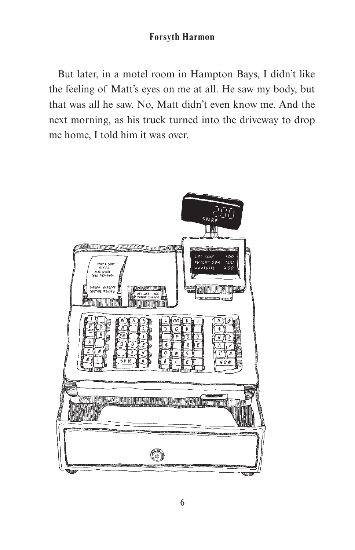But later, in a motel room in Hampton Bays, I didn't like the feeling of Matt's eyes on me at all. He saw my body, but that was all he saw. No, Matt didn't even know me. And the next morning, as his truck turned into the driveway to drop me home, I told him it was over.

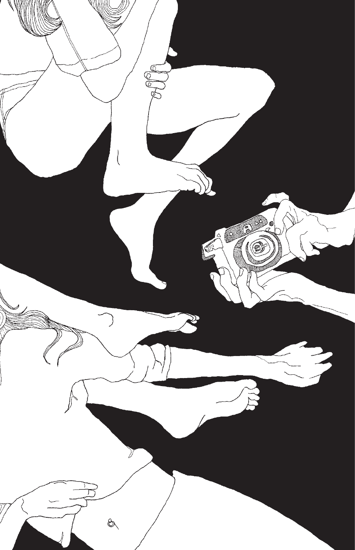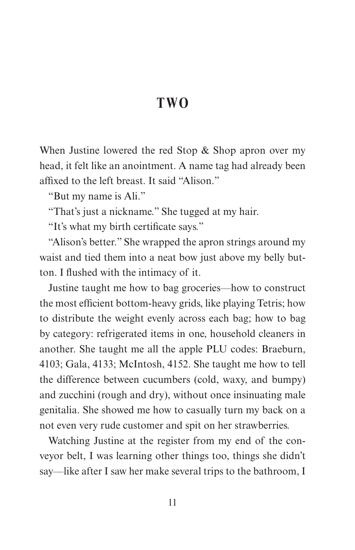# **TWO**

When Justine lowered the red Stop & Shop apron over my head, it felt like an anointment. A name tag had already been affixed to the left breast. It said "Alison."

"But my name is Ali."

"That's just a nickname." She tugged at my hair.

"It's what my birth certificate says."

"Alison's better." She wrapped the apron strings around my waist and tied them into a neat bow just above my belly button. I flushed with the intimacy of it.

Justine taught me how to bag groceries—how to construct the most efficient bottom-heavy grids, like playing Tetris; how to distribute the weight evenly across each bag; how to bag by category: refrigerated items in one, household cleaners in another. She taught me all the apple PLU codes: Braeburn, 4103; Gala, 4133; McIntosh, 4152. She taught me how to tell the difference between cucumbers (cold, waxy, and bumpy) and zucchini (rough and dry), without once insinuating male genitalia. She showed me how to casually turn my back on a not even very rude customer and spit on her strawberries.

Watching Justine at the register from my end of the conveyor belt, I was learning other things too, things she didn't say—like after I saw her make several trips to the bathroom, I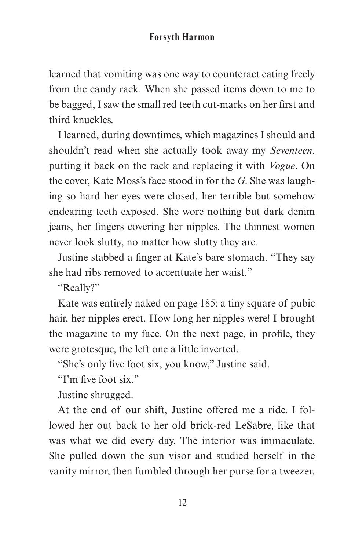learned that vomiting was one way to counteract eating freely from the candy rack. When she passed items down to me to be bagged, I saw the small red teeth cut-marks on her first and third knuckles.

I learned, during downtimes, which magazines I should and shouldn't read when she actually took away my *Seventeen*, putting it back on the rack and replacing it with *Vogue*. On the cover, Kate Moss's face stood in for the *G*. She was laughing so hard her eyes were closed, her terrible but somehow endearing teeth exposed. She wore nothing but dark denim jeans, her fingers covering her nipples. The thinnest women never look slutty, no matter how slutty they are.

Justine stabbed a finger at Kate's bare stomach. "They say she had ribs removed to accentuate her waist."

"Really?"

Kate was entirely naked on page 185: a tiny square of pubic hair, her nipples erect. How long her nipples were! I brought the magazine to my face. On the next page, in profile, they were grotesque, the left one a little inverted.

"She's only five foot six, you know," Justine said.

"I'm five foot six."

Justine shrugged.

At the end of our shift, Justine offered me a ride. I followed her out back to her old brick-red LeSabre, like that was what we did every day. The interior was immaculate. She pulled down the sun visor and studied herself in the vanity mirror, then fumbled through her purse for a tweezer,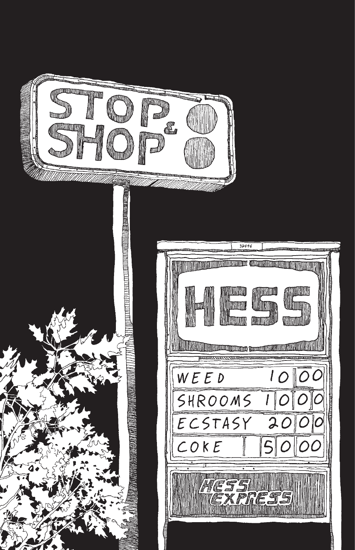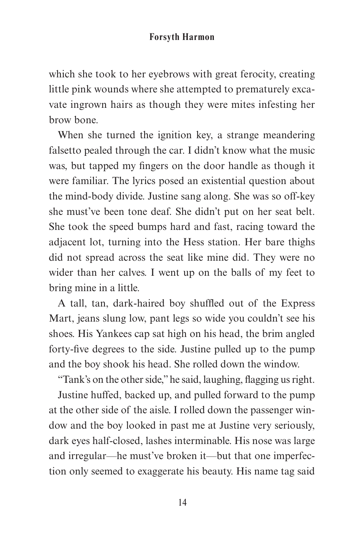which she took to her eyebrows with great ferocity, creating little pink wounds where she attempted to prematurely excavate ingrown hairs as though they were mites infesting her brow bone.

When she turned the ignition key, a strange meandering falsetto pealed through the car. I didn't know what the music was, but tapped my fingers on the door handle as though it were familiar. The lyrics posed an existential question about the mind-body divide. Justine sang along. She was so off-key she must've been tone deaf. She didn't put on her seat belt. She took the speed bumps hard and fast, racing toward the adjacent lot, turning into the Hess station. Her bare thighs did not spread across the seat like mine did. They were no wider than her calves. I went up on the balls of my feet to bring mine in a little.

A tall, tan, dark-haired boy shuffled out of the Express Mart, jeans slung low, pant legs so wide you couldn't see his shoes. His Yankees cap sat high on his head, the brim angled forty-five degrees to the side. Justine pulled up to the pump and the boy shook his head. She rolled down the window.

"Tank's on the other side," he said, laughing, flagging us right.

Justine huffed, backed up, and pulled forward to the pump at the other side of the aisle. I rolled down the passenger window and the boy looked in past me at Justine very seriously, dark eyes half-closed, lashes interminable. His nose was large and irregular—he must've broken it—but that one imperfection only seemed to exaggerate his beauty. His name tag said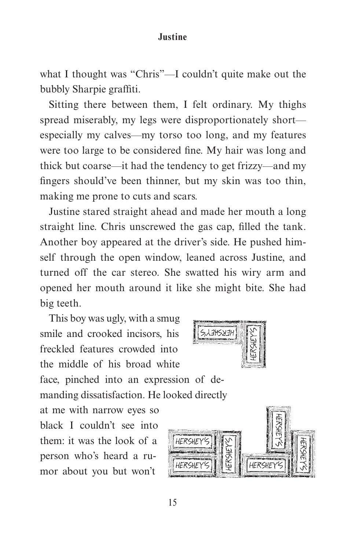what I thought was "Chris"—I couldn't quite make out the bubbly Sharpie graffiti.

Sitting there between them, I felt ordinary. My thighs spread miserably, my legs were disproportionately short especially my calves—my torso too long, and my features were too large to be considered fine. My hair was long and thick but coarse—it had the tendency to get frizzy—and my fingers should've been thinner, but my skin was too thin, making me prone to cuts and scars.

Justine stared straight ahead and made her mouth a long straight line. Chris unscrewed the gas cap, filled the tank. Another boy appeared at the driver's side. He pushed himself through the open window, leaned across Justine, and turned off the car stereo. She swatted his wiry arm and opened her mouth around it like she might bite. She had big teeth.

This boy was ugly, with a smug smile and crooked incisors, his freckled features crowded into the middle of his broad white



face, pinched into an expression of demanding dissatisfaction. He looked directly

at me with narrow eyes so black I couldn't see into them: it was the look of a person who's heard a rumor about you but won't

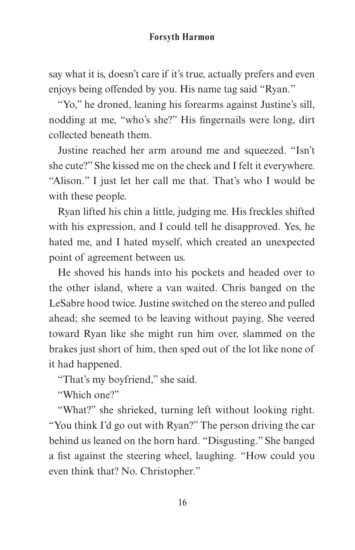say what it is, doesn't care if it's true, actually prefers and even enjoys being offended by you. His name tag said "Ryan."

"Yo," he droned, leaning his forearms against Justine's sill, nodding at me, "who's she?" His fingernails were long, dirt collected beneath them.

Justine reached her arm around me and squeezed. "Isn't she cute?" She kissed me on the cheek and I felt it everywhere. "Alison." I just let her call me that. That's who I would be with these people.

Ryan lifted his chin a little, judging me. His freckles shifted with his expression, and I could tell he disapproved. Yes, he hated me, and I hated myself, which created an unexpected point of agreement between us.

He shoved his hands into his pockets and headed over to the other island, where a van waited. Chris banged on the LeSabre hood twice. Justine switched on the stereo and pulled ahead; she seemed to be leaving without paying. She veered toward Ryan like she might run him over, slammed on the brakes just short of him, then sped out of the lot like none of it had happened.

"That's my boyfriend," she said.

"Which one?"

"What?" she shrieked, turning left without looking right. "You think I'd go out with Ryan?" The person driving the car behind us leaned on the horn hard. "Disgusting." She banged a fist against the steering wheel, laughing. "How could you even think that? No. Christopher."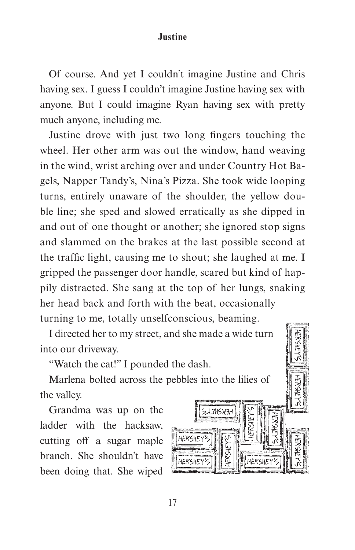Of course. And yet I couldn't imagine Justine and Chris having sex. I guess I couldn't imagine Justine having sex with anyone. But I could imagine Ryan having sex with pretty much anyone, including me.

Justine drove with just two long fingers touching the wheel. Her other arm was out the window, hand weaving in the wind, wrist arching over and under Country Hot Bagels, Napper Tandy's, Nina's Pizza. She took wide looping turns, entirely unaware of the shoulder, the yellow double line; she sped and slowed erratically as she dipped in and out of one thought or another; she ignored stop signs and slammed on the brakes at the last possible second at the traffic light, causing me to shout; she laughed at me. I gripped the passenger door handle, scared but kind of happily distracted. She sang at the top of her lungs, snaking her head back and forth with the beat, occasionally turning to me, totally unselfconscious, beaming.

I directed her to my street, and she made a wide turn into our driveway.

"Watch the cat!" I pounded the dash.

Marlena bolted across the pebbles into the lilies of the valley.

Grandma was up on the ladder with the hacksaw, cutting off a sugar maple branch. She shouldn't have been doing that. She wiped

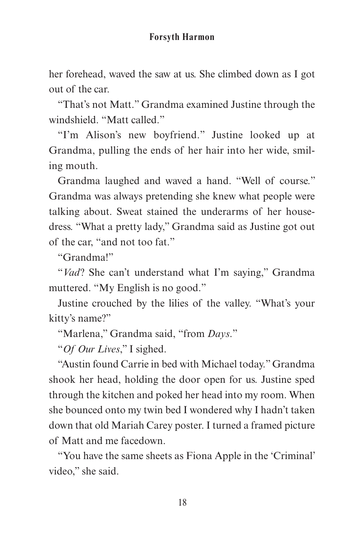her forehead, waved the saw at us. She climbed down as I got out of the car.

"That's not Matt." Grandma examined Justine through the windshield. "Matt called."

"I'm Alison's new boyfriend." Justine looked up at Grandma, pulling the ends of her hair into her wide, smiling mouth.

Grandma laughed and waved a hand. "Well of course." Grandma was always pretending she knew what people were talking about. Sweat stained the underarms of her housedress. "What a pretty lady," Grandma said as Justine got out of the car, "and not too fat."

"Grandma!"

"*Vad*? She can't understand what I'm saying," Grandma muttered. "My English is no good."

Justine crouched by the lilies of the valley. "What's your kitty's name?"

"Marlena," Grandma said, "from *Days*."

"*Of Our Lives*," I sighed.

"Austin found Carrie in bed with Michael today." Grandma shook her head, holding the door open for us. Justine sped through the kitchen and poked her head into my room. When she bounced onto my twin bed I wondered why I hadn't taken down that old Mariah Carey poster. I turned a framed picture of Matt and me facedown.

"You have the same sheets as Fiona Apple in the 'Criminal' video," she said.